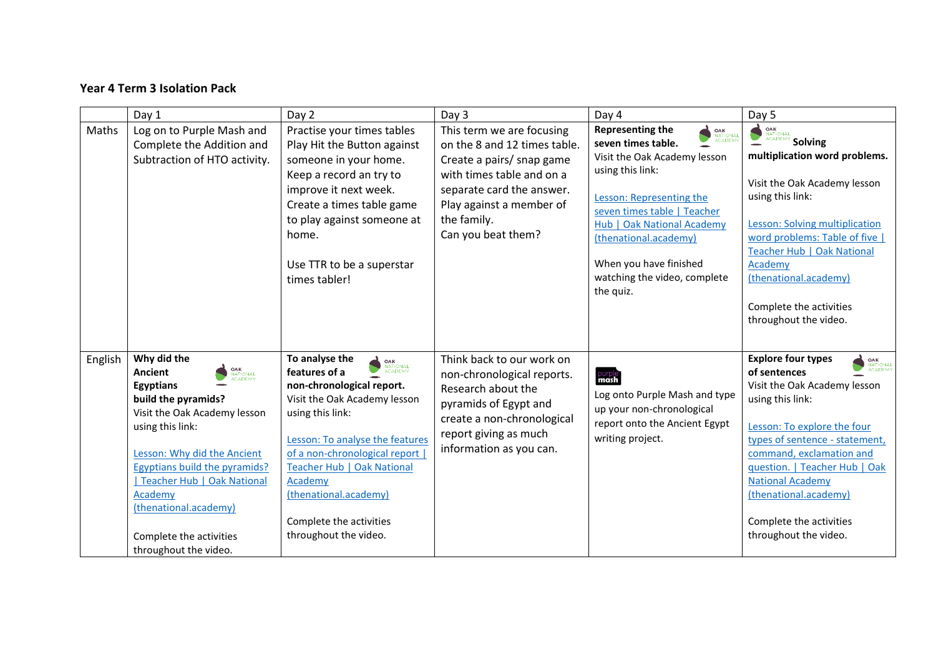## **Year 4 Term 3 Isolation Pack**

|         | Day 1                                                                                                                                                                                                                                                                                                                                            | Day 2                                                                                                                                                                                                                                                                                                                                                  | Day 3                                                                                                                                                                                                             | Day 4                                                                                                                                                                                                                                                                                                                           | Day 5                                                                                                                                                                                                                                                                                                                                                                   |
|---------|--------------------------------------------------------------------------------------------------------------------------------------------------------------------------------------------------------------------------------------------------------------------------------------------------------------------------------------------------|--------------------------------------------------------------------------------------------------------------------------------------------------------------------------------------------------------------------------------------------------------------------------------------------------------------------------------------------------------|-------------------------------------------------------------------------------------------------------------------------------------------------------------------------------------------------------------------|---------------------------------------------------------------------------------------------------------------------------------------------------------------------------------------------------------------------------------------------------------------------------------------------------------------------------------|-------------------------------------------------------------------------------------------------------------------------------------------------------------------------------------------------------------------------------------------------------------------------------------------------------------------------------------------------------------------------|
| Maths   | Log on to Purple Mash and<br>Complete the Addition and<br>Subtraction of HTO activity.                                                                                                                                                                                                                                                           | Practise your times tables<br>Play Hit the Button against<br>someone in your home.<br>Keep a record an try to<br>improve it next week.<br>Create a times table game<br>to play against someone at<br>home.<br>Use TTR to be a superstar<br>times tabler!                                                                                               | This term we are focusing<br>on the 8 and 12 times table.<br>Create a pairs/ snap game<br>with times table and on a<br>separate card the answer.<br>Play against a member of<br>the family.<br>Can you beat them? | <b>Representing the</b><br><b>OAK</b><br>NATIONAL<br>ACADEMY<br>seven times table.<br>Visit the Oak Academy lesson<br>using this link:<br>Lesson: Representing the<br>seven times table   Teacher<br>Hub   Oak National Academy<br>(thenational.academy)<br>When you have finished<br>watching the video, complete<br>the quiz. | <b>DAK</b><br>ACADEMY <b>Solving</b><br>multiplication word problems.<br>Visit the Oak Academy lesson<br>using this link:<br>Lesson: Solving multiplication<br>word problems: Table of five<br>Teacher Hub   Oak National<br>Academy<br>(thenational.academy)<br>Complete the activities<br>throughout the video.                                                       |
| English | Why did the<br><b>OAK</b><br>NATIONAL<br>ACADEMY<br>Ancient<br>Egyptians<br>build the pyramids?<br>Visit the Oak Academy lesson<br>using this link:<br>Lesson: Why did the Ancient<br><b>Egyptians build the pyramids?</b><br>Teacher Hub   Oak National<br>Academy<br>(thenational.academy)<br>Complete the activities<br>throughout the video. | To analyse the<br><b>OAK</b><br>NATIONAL<br>ACADEMY<br>features of a<br>non-chronological report.<br>Visit the Oak Academy lesson<br>using this link:<br>Lesson: To analyse the features<br>of a non-chronological report<br><b>Teacher Hub   Oak National</b><br>Academy<br>(thenational.academy)<br>Complete the activities<br>throughout the video. | Think back to our work on<br>non-chronological reports.<br>Research about the<br>pyramids of Egypt and<br>create a non-chronological<br>report giving as much<br>information as you can.                          | purple<br>Log onto Purple Mash and type<br>up your non-chronological<br>report onto the Ancient Egypt<br>writing project.                                                                                                                                                                                                       | <b>Explore four types</b><br><b>OAK</b><br>NATIONA<br>ACADEM'<br>of sentences<br>Visit the Oak Academy lesson<br>using this link:<br>Lesson: To explore the four<br>types of sentence - statement,<br>command, exclamation and<br>question.   Teacher Hub   Oak<br><b>National Academy</b><br>(thenational.academy)<br>Complete the activities<br>throughout the video. |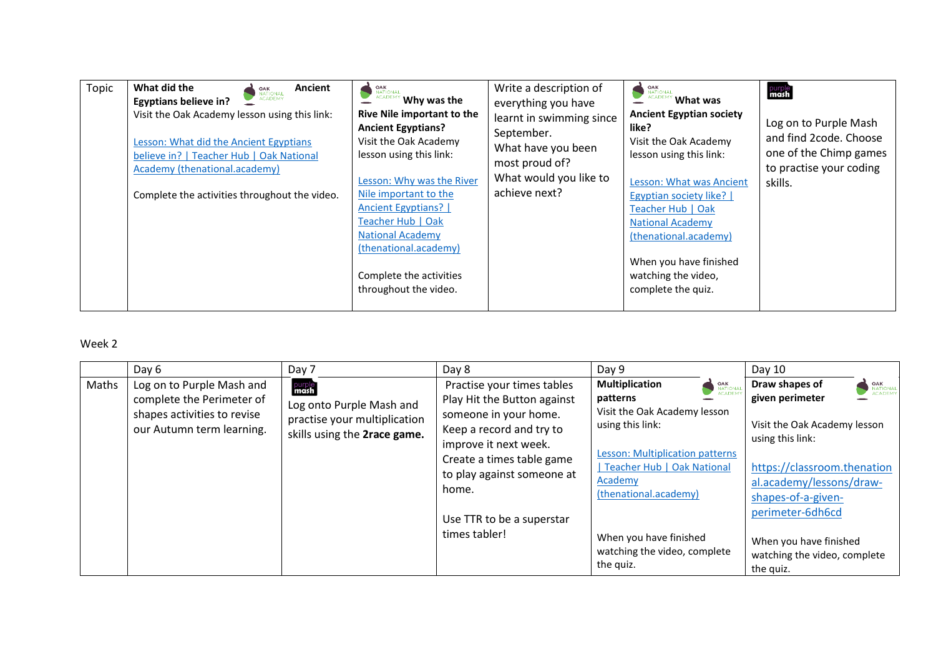| Topic | What did the<br>Ancient<br><b>OAK</b><br>NATIONAL<br>ACADEMY<br><b>Egyptians believe in?</b><br>Visit the Oak Academy lesson using this link:<br>Lesson: What did the Ancient Egyptians<br>believe in?   Teacher Hub   Oak National<br>Academy (thenational.academy)<br>Complete the activities throughout the video. | <b>EXAMPLE ACADEMY Why was the</b><br>Rive Nile important to the<br><b>Ancient Egyptians?</b><br>Visit the Oak Academy<br>lesson using this link:<br>Lesson: Why was the River<br>Nile important to the<br><b>Ancient Egyptians?</b><br>Teacher Hub   Oak<br><b>National Academy</b><br>(thenational.academy)<br>Complete the activities<br>throughout the video. | Write a description of<br>everything you have<br>learnt in swimming since<br>September.<br>What have you been<br>most proud of?<br>What would you like to<br>achieve next? | OAK<br>National<br>What was<br><b>Ancient Egyptian society</b><br>like?<br>Visit the Oak Academy<br>lesson using this link:<br>Lesson: What was Ancient<br><b>Egyptian society like?</b>  <br>Teacher Hub   Oak<br><b>National Academy</b><br>(thenational.academy)<br>When you have finished<br>watching the video,<br>complete the quiz. | purple <sup>-</sup><br>mash<br>Log on to Purple Mash<br>and find 2code. Choose<br>one of the Chimp games<br>to practise your coding<br>skills. |
|-------|-----------------------------------------------------------------------------------------------------------------------------------------------------------------------------------------------------------------------------------------------------------------------------------------------------------------------|-------------------------------------------------------------------------------------------------------------------------------------------------------------------------------------------------------------------------------------------------------------------------------------------------------------------------------------------------------------------|----------------------------------------------------------------------------------------------------------------------------------------------------------------------------|--------------------------------------------------------------------------------------------------------------------------------------------------------------------------------------------------------------------------------------------------------------------------------------------------------------------------------------------|------------------------------------------------------------------------------------------------------------------------------------------------|
|-------|-----------------------------------------------------------------------------------------------------------------------------------------------------------------------------------------------------------------------------------------------------------------------------------------------------------------------|-------------------------------------------------------------------------------------------------------------------------------------------------------------------------------------------------------------------------------------------------------------------------------------------------------------------------------------------------------------------|----------------------------------------------------------------------------------------------------------------------------------------------------------------------------|--------------------------------------------------------------------------------------------------------------------------------------------------------------------------------------------------------------------------------------------------------------------------------------------------------------------------------------------|------------------------------------------------------------------------------------------------------------------------------------------------|

## Week 2

|       | Day 6                                                                                                              | Day 7                                                                                                      | Day 8                                                                                                                                                                                                                                                     | Day 9                                                                                                                                                                                                                                                                                                           | Day 10                                                                                                                                                                                                                                                                                                        |
|-------|--------------------------------------------------------------------------------------------------------------------|------------------------------------------------------------------------------------------------------------|-----------------------------------------------------------------------------------------------------------------------------------------------------------------------------------------------------------------------------------------------------------|-----------------------------------------------------------------------------------------------------------------------------------------------------------------------------------------------------------------------------------------------------------------------------------------------------------------|---------------------------------------------------------------------------------------------------------------------------------------------------------------------------------------------------------------------------------------------------------------------------------------------------------------|
| Maths | Log on to Purple Mash and<br>complete the Perimeter of<br>shapes activities to revise<br>our Autumn term learning. | purple<br>mash<br>Log onto Purple Mash and<br>practise your multiplication<br>skills using the 2race game. | Practise your times tables<br>Play Hit the Button against<br>someone in your home.<br>Keep a record and try to<br>improve it next week.<br>Create a times table game<br>to play against someone at<br>home.<br>Use TTR to be a superstar<br>times tabler! | <b>Multiplication</b><br><b>OAK</b><br><b>NATIONAL</b><br>ACADEMY<br>patterns<br>Visit the Oak Academy lesson<br>using this link:<br>Lesson: Multiplication patterns<br>  Teacher Hub   Oak National<br>Academy<br>(thenational.academy)<br>When you have finished<br>watching the video, complete<br>the quiz. | Draw shapes of<br><b>OAK</b><br><b>NATIONAL</b><br>ACADEMY<br>given perimeter<br>Visit the Oak Academy lesson<br>using this link:<br>https://classroom.thenation<br>al.academy/lessons/draw-<br>shapes-of-a-given-<br>perimeter-6dh6cd<br>When you have finished<br>watching the video, complete<br>the quiz. |